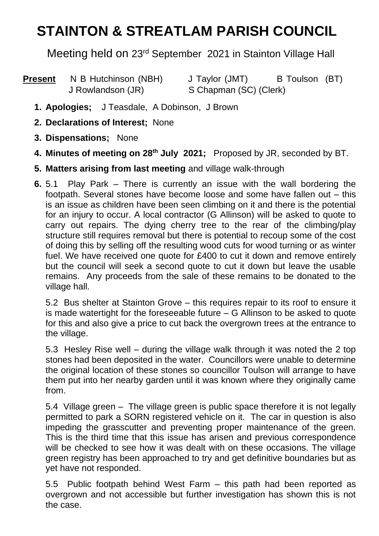## **STAINTON & STREATLAM PARISH COUNCIL**

Meeting held on 23rd September 2021 in Stainton Village Hall

| <b>Present</b> | N B Hutchinson (NBH) | J Taylor (JMT)         | B Toulson (BT) |  |
|----------------|----------------------|------------------------|----------------|--|
|                | J Rowlandson (JR)    | S Chapman (SC) (Clerk) |                |  |

- **1. Apologies;** J Teasdale, A Dobinson, J Brown
- **2. Declarations of Interest;** None
- **3. Dispensations;** None
- **4. Minutes of meeting on 28 th July 2021;** Proposed by JR, seconded by BT.
- **5. Matters arising from last meeting** and village walk-through
- **6.** 5.1 Play Park There is currently an issue with the wall bordering the footpath. Several stones have become loose and some have fallen out – this is an issue as children have been seen climbing on it and there is the potential for an injury to occur. A local contractor (G Allinson) will be asked to quote to carry out repairs. The dying cherry tree to the rear of the climbing/play structure still requires removal but there is potential to recoup some of the cost of doing this by selling off the resulting wood cuts for wood turning or as winter fuel. We have received one quote for £400 to cut it down and remove entirely but the council will seek a second quote to cut it down but leave the usable remains. Any proceeds from the sale of these remains to be donated to the village hall.

5.2 Bus shelter at Stainton Grove – this requires repair to its roof to ensure it is made watertight for the foreseeable future – G Allinson to be asked to quote for this and also give a price to cut back the overgrown trees at the entrance to the village.

5.3 Hesley Rise well – during the village walk through it was noted the 2 top stones had been deposited in the water. Councillors were unable to determine the original location of these stones so councillor Toulson will arrange to have them put into her nearby garden until it was known where they originally came from.

5.4 Village green – The village green is public space therefore it is not legally permitted to park a SORN registered vehicle on it. The car in question is also impeding the grasscutter and preventing proper maintenance of the green. This is the third time that this issue has arisen and previous correspondence will be checked to see how it was dealt with on these occasions. The village green registry has been approached to try and get definitive boundaries but as yet have not responded.

5.5 Public footpath behind West Farm – this path had been reported as overgrown and not accessible but further investigation has shown this is not the case.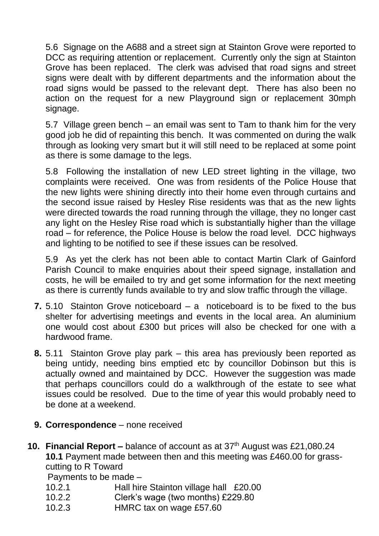5.6 Signage on the A688 and a street sign at Stainton Grove were reported to DCC as requiring attention or replacement. Currently only the sign at Stainton Grove has been replaced. The clerk was advised that road signs and street signs were dealt with by different departments and the information about the road signs would be passed to the relevant dept. There has also been no action on the request for a new Playground sign or replacement 30mph signage.

5.7 Village green bench – an email was sent to Tam to thank him for the very good job he did of repainting this bench. It was commented on during the walk through as looking very smart but it will still need to be replaced at some point as there is some damage to the legs.

5.8 Following the installation of new LED street lighting in the village, two complaints were received. One was from residents of the Police House that the new lights were shining directly into their home even through curtains and the second issue raised by Hesley Rise residents was that as the new lights were directed towards the road running through the village, they no longer cast any light on the Hesley Rise road which is substantially higher than the village road – for reference, the Police House is below the road level. DCC highways and lighting to be notified to see if these issues can be resolved.

5.9 As yet the clerk has not been able to contact Martin Clark of Gainford Parish Council to make enquiries about their speed signage, installation and costs, he will be emailed to try and get some information for the next meeting as there is currently funds available to try and slow traffic through the village.

- **7.** 5.10 Stainton Grove noticeboard a noticeboard is to be fixed to the bus shelter for advertising meetings and events in the local area. An aluminium one would cost about £300 but prices will also be checked for one with a hardwood frame.
- **8.** 5.11 Stainton Grove play park this area has previously been reported as being untidy, needing bins emptied etc by councillor Dobinson but this is actually owned and maintained by DCC. However the suggestion was made that perhaps councillors could do a walkthrough of the estate to see what issues could be resolved. Due to the time of year this would probably need to be done at a weekend.
- **9. Correspondence** none received
- **10. Financial Report –** balance of account as at 37<sup>th</sup> August was £21,080.24 **10.1** Payment made between then and this meeting was £460.00 for grasscutting to R Toward

Payments to be made –

- 10.2.1 Hall hire Stainton village hall £20.00
- 10.2.2 Clerk's wage (two months) £229.80
- 10.2.3 HMRC tax on wage £57.60